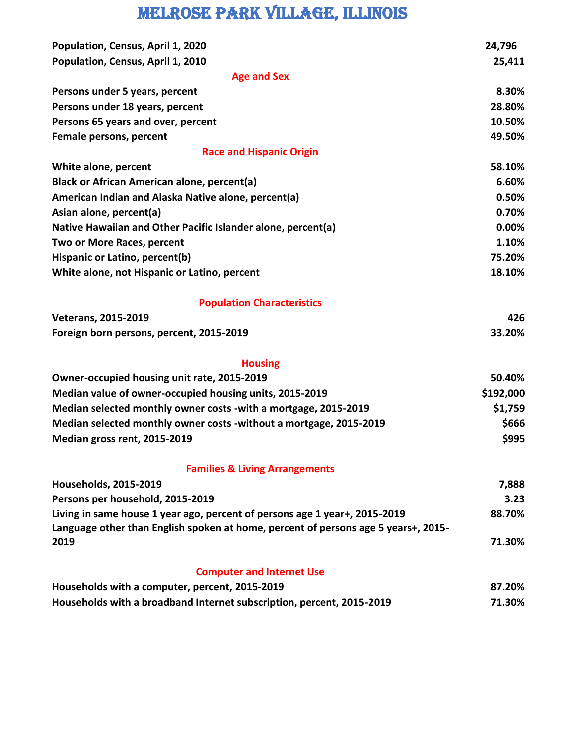## Melrose Park village, Illinois

| Population, Census, April 1, 2020                                                                                                                                | 24,796    |
|------------------------------------------------------------------------------------------------------------------------------------------------------------------|-----------|
| Population, Census, April 1, 2010                                                                                                                                | 25,411    |
| <b>Age and Sex</b>                                                                                                                                               |           |
| Persons under 5 years, percent                                                                                                                                   | 8.30%     |
| Persons under 18 years, percent                                                                                                                                  | 28.80%    |
| Persons 65 years and over, percent                                                                                                                               | 10.50%    |
| Female persons, percent                                                                                                                                          | 49.50%    |
| <b>Race and Hispanic Origin</b>                                                                                                                                  |           |
| White alone, percent                                                                                                                                             | 58.10%    |
| <b>Black or African American alone, percent(a)</b>                                                                                                               | 6.60%     |
| American Indian and Alaska Native alone, percent(a)                                                                                                              | 0.50%     |
| Asian alone, percent(a)                                                                                                                                          | 0.70%     |
| Native Hawaiian and Other Pacific Islander alone, percent(a)                                                                                                     | 0.00%     |
| Two or More Races, percent                                                                                                                                       | 1.10%     |
| Hispanic or Latino, percent(b)                                                                                                                                   | 75.20%    |
| White alone, not Hispanic or Latino, percent                                                                                                                     | 18.10%    |
| <b>Population Characteristics</b>                                                                                                                                |           |
| <b>Veterans, 2015-2019</b>                                                                                                                                       | 426       |
| Foreign born persons, percent, 2015-2019                                                                                                                         | 33.20%    |
| <b>Housing</b>                                                                                                                                                   |           |
| Owner-occupied housing unit rate, 2015-2019                                                                                                                      | 50.40%    |
| Median value of owner-occupied housing units, 2015-2019                                                                                                          | \$192,000 |
| Median selected monthly owner costs - with a mortgage, 2015-2019                                                                                                 | \$1,759   |
| Median selected monthly owner costs -without a mortgage, 2015-2019                                                                                               | \$666     |
| Median gross rent, 2015-2019                                                                                                                                     | \$995     |
| <b>Families &amp; Living Arrangements</b>                                                                                                                        |           |
| <b>Households, 2015-2019</b>                                                                                                                                     | 7,888     |
| Persons per household, 2015-2019                                                                                                                                 | 3.23      |
| Living in same house 1 year ago, percent of persons age 1 year+, 2015-2019<br>Language other than English spoken at home, percent of persons age 5 years+, 2015- | 88.70%    |
| 2019                                                                                                                                                             | 71.30%    |
| <b>Computer and Internet Use</b>                                                                                                                                 |           |
| Households with a computer, percent, 2015-2019                                                                                                                   | 87.20%    |
| Households with a broadband Internet subscription, percent, 2015-2019                                                                                            | 71.30%    |